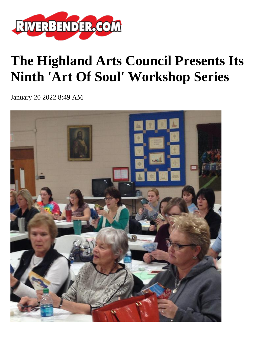

## **The Highland Arts Council Presents Its Ninth 'Art Of Soul' Workshop Series**

January 20 2022 8:49 AM

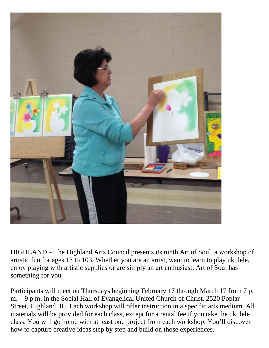

HIGHLAND – The Highland Arts Council presents its ninth Art of Soul, a workshop of artistic fun for ages 13 to 103. Whether you are an artist, want to learn to play ukulele, enjoy playing with artistic supplies or are simply an art enthusiast, Art of Soul has something for you.

Participants will meet on Thursdays beginning February 17 through March 17 from 7 p. m. – 9 p.m. in the Social Hall of Evangelical United Church of Christ, 2520 Poplar Street, Highland, IL. Each workshop will offer instruction in a specific arts medium. All materials will be provided for each class, except for a rental fee if you take the ukulele class. You will go home with at least one project from each workshop. You'll discover how to capture creative ideas step by step and build on those experiences.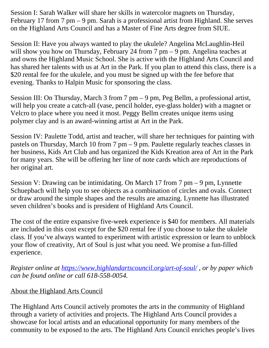Session I: Sarah Walker will share her skills in watercolor magnets on Thursday, February 17 from 7 pm – 9 pm. Sarah is a professional artist from Highland. She serves on the Highland Arts Council and has a Master of Fine Arts degree from SIUE.

Session II: Have you always wanted to play the ukulele? Angelina McLaughlin-Heil will show you how on Thursday, February 24 from 7 pm – 9 pm. Angelina teaches at and owns the Highland Music School. She is active with the Highland Arts Council and has shared her talents with us at Art in the Park. If you plan to attend this class, there is a \$20 rental fee for the ukulele, and you must be signed up with the fee before that evening. Thanks to Halpin Music for sponsoring the class.

Session III: On Thursday, March 3 from 7 pm – 9 pm, Peg Bellm, a professional artist, will help you create a catch-all (vase, pencil holder, eye-glass holder) with a magnet or Velcro to place where you need it most. Peggy Bellm creates unique items using polymer clay and is an award-winning artist at Art in the Park.

Session IV: Paulette Todd, artist and teacher, will share her techniques for painting with pastels on Thursday, March 10 from 7 pm – 9 pm. Paulette regularly teaches classes in her business, Kids Art Club and has organized the Kids Kreation area of Art in the Park for many years. She will be offering her line of note cards which are reproductions of her original art.

Session V: Drawing can be intimidating. On March 17 from 7 pm – 9 pm, Lynnette Schuepbach will help you to see objects as a combination of circles and ovals. Connect or draw around the simple shapes and the results are amazing. Lynnette has illustrated seven children's books and is president of Highland Arts Council.

The cost of the entire expansive five-week experience is \$40 for members. All materials are included in this cost except for the \$20 rental fee if you choose to take the ukulele class. If you've always wanted to experiment with artistic expression or learn to unblock your flow of creativity, Art of Soul is just what you need. We promise a fun-filled experience.

*Register online at <https://www.highlandartscouncil.org/art-of-soul/>, or by paper which can be found online or call 618-558-0054.*

## About the Highland Arts Council

The Highland Arts Council actively promotes the arts in the community of Highland through a variety of activities and projects. The Highland Arts Council provides a showcase for local artists and an educational opportunity for many members of the community to be exposed to the arts. The Highland Arts Council enriches people's lives